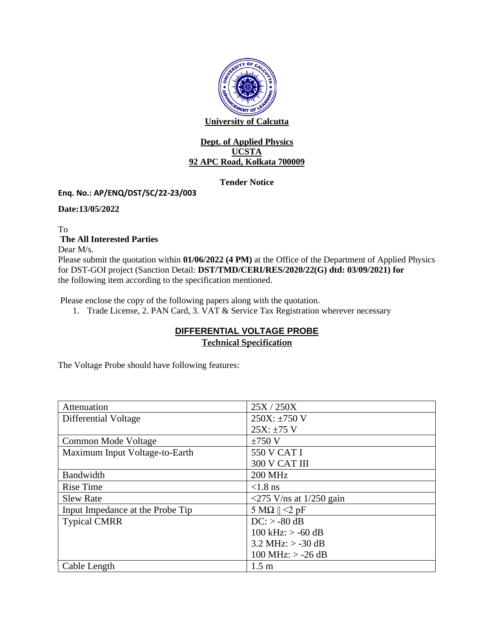

#### **Dept. of Applied Physics UCSTA 92 APC Road, Kolkata 700009**

## **Tender Notice**

#### **Enq. No.: AP/ENQ/DST/SC/22-23/003**

**Date:13/05/2022**

To **The All Interested Parties**  Dear M/s.

Please submit the quotation within **01/06/2022 (4 PM)** at the Office of the Department of Applied Physics for DST-GOI project (Sanction Detail: **DST/TMD/CERI/RES/2020/22(G) dtd: 03/09/2021) for** the following item according to the specification mentioned.

Please enclose the copy of the following papers along with the quotation.

1. Trade License, 2. PAN Card, 3. VAT & Service Tax Registration wherever necessary

# **DIFFERENTIAL VOLTAGE PROBE**

**Technical Specification**

The Voltage Probe should have following features:

| Attenuation                      | 25X / 250X                                                        |
|----------------------------------|-------------------------------------------------------------------|
| Differential Voltage             | $250X: \pm 750V$                                                  |
|                                  | $25X: \pm 75$ V                                                   |
| Common Mode Voltage              | $\pm 750$ V                                                       |
| Maximum Input Voltage-to-Earth   | 550 V CAT I                                                       |
|                                  | 300 V CAT III                                                     |
| Bandwidth                        | <b>200 MHz</b>                                                    |
| <b>Rise Time</b>                 | $< 1.8$ ns                                                        |
| <b>Slew Rate</b>                 | $\langle 275 \text{ V/ns} \text{ at } 1/250 \text{ gain} \rangle$ |
| Input Impedance at the Probe Tip | 5 M $\Omega$    <2 pF                                             |
| <b>Typical CMRR</b>              | $DC: > -80$ dB                                                    |
|                                  | $100 \text{ kHz}$ : $> -60 \text{ dB}$                            |
|                                  | 3.2 MHz: $> -30$ dB                                               |
|                                  | $100 \text{ MHz}$ : $> -26 \text{ dB}$                            |
| Cable Length                     | 1.5 <sub>m</sub>                                                  |